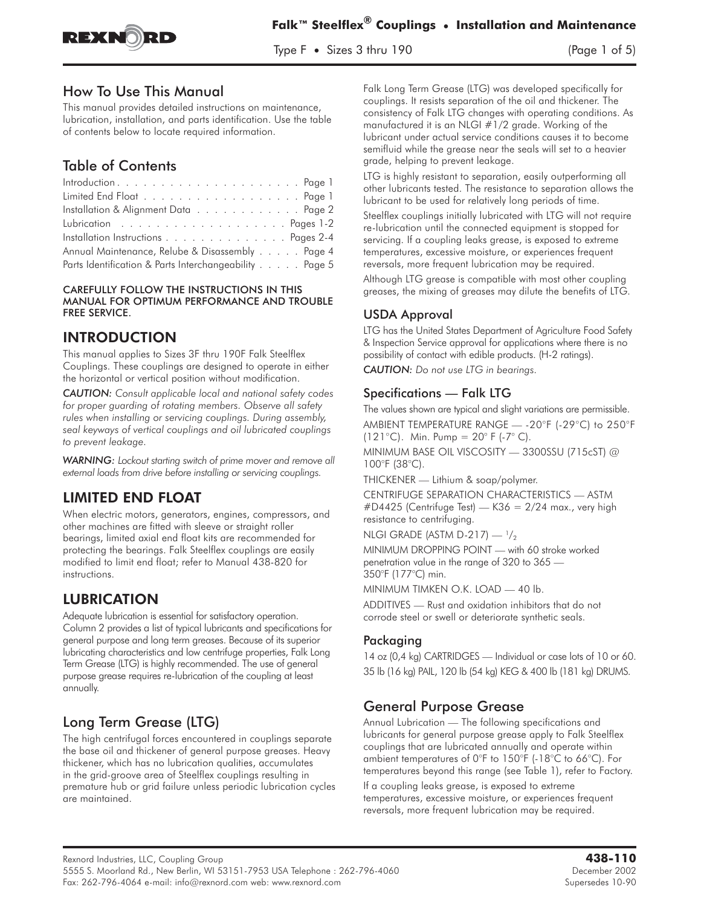

Type F • Sizes 3 thru 190 (Page 1 of 5)

## How To Use This Manual

This manual provides detailed instructions on maintenance, lubrication, installation, and parts identification. Use the table of contents below to locate required information.

# Table of Contents

| Installation & Alignment Data Page 2                   |
|--------------------------------------------------------|
|                                                        |
| Installation Instructions Pages 2-4                    |
| Annual Maintenance, Relube & Disassembly Page 4        |
| Parts Identification & Parts Interchangeability Page 5 |

CAREFULLY FOLLOW THE INSTRUCTIONS IN THIS MANUAL FOR OPTIMUM PERFORMANCE AND TROUBLE FREE SERVICE.

# **INTRODUCTION**

This manual applies to Sizes 3F thru 190F Falk Steelflex Couplings. These couplings are designed to operate in either the horizontal or vertical position without modification.

*CAUTION: Consult applicable local and national safety codes for proper guarding of rotating members. Observe all safety rules when installing or servicing couplings. During assembly, seal keyways of vertical couplings and oil lubricated couplings to prevent leakage.*

*WARNING: Lockout starting switch of prime mover and remove all external loads from drive before installing or servicing couplings.*

# **LIMITED END FLOAT**

LIMITED END FLOAT When electric motors, generators, engines, compressors, and other machines are fitted with sleeve or straight roller bearings, limited axial end float kits are recommended for protecting the bearings. Falk Steelflex couplings are easily modified to limit end float; refer to Manual 438-820 for instructions.

LUBRICATION Adequate lubrication is essential for satisfactory operation. Column 2 provides a list of typical lubricants and specifications for general purpose and long term greases. Because of its superior lubricating characteristics and low centrifuge properties, Falk Long Term Grease (LTG) is highly recommended. The use of general purpose grease requires re-lubrication of the coupling at least annually.

# Long Term Grease (LTG)

The high centrifugal forces encountered in couplings separate the base oil and thickener of general purpose greases. Heavy thickener, which has no lubrication qualities, accumulates in the grid-groove area of Steelflex couplings resulting in premature hub or grid failure unless periodic lubrication cycles are maintained.

Falk Long Term Grease (LTG) was developed specifically for couplings. It resists separation of the oil and thickener. The consistency of Falk LTG changes with operating conditions. As manufactured it is an NLGI #1/2 grade. Working of the lubricant under actual service conditions causes it to become semifluid while the grease near the seals will set to a heavier grade, helping to prevent leakage.

LTG is highly resistant to separation, easily outperforming all other lubricants tested. The resistance to separation allows the lubricant to be used for relatively long periods of time.

Steelflex couplings initially lubricated with LTG will not require re-lubrication until the connected equipment is stopped for servicing. If a coupling leaks grease, is exposed to extreme temperatures, excessive moisture, or experiences frequent reversals, more frequent lubrication may be required.

Although LTG grease is compatible with most other coupling greases, the mixing of greases may dilute the benefits of LTG.

## USDA Approval

LTG has the United States Department of Agriculture Food Safety & Inspection Service approval for applications where there is no possibility of contact with edible products. (H-2 ratings).

*CAUTION: Do not use LTG in bearings.*

## Specifications — Falk LTG

The values shown are typical and slight variations are permissible. AMBIENT TEMPERATURE RANGE — -20°F (-29°C) to 250°F

(121°C). Min. Pump =  $20^{\circ}$  F (-7°C).

MINIMUM BASE OIL VISCOSITY — 3300SSU (715cST) @ 100°F (38°C).

THICKENER — Lithium & soap/polymer.

CENTRIFUGE SEPARATION CHARACTERISTICS — ASTM  $\#D4425$  (Centrifuge Test) — K36 = 2/24 max., very high resistance to centrifuging.

NLGI GRADE (ASTM D-217) —  $\frac{1}{2}$ 

MINIMUM DROPPING POINT — with 60 stroke worked penetration value in the range of 320 to 365 — 350°F (177°C) min.

MINIMUM TIMKEN O.K. LOAD — 40 lb.

ADDITIVES — Rust and oxidation inhibitors that do not corrode steel or swell or deteriorate synthetic seals.

## Packaging

14 oz (0,4 kg) CARTRIDGES — Individual or case lots of 10 or 60. 35 lb (16 kg) PAIL, 120 lb (54 kg) KEG & 400 lb (181 kg) DRUMS.

# General Purpose Grease

Annual Lubrication — The following specifications and lubricants for general purpose grease apply to Falk Steelflex couplings that are lubricated annually and operate within ambient temperatures of 0°F to 150°F (-18°C to 66°C). For temperatures beyond this range (see Table 1), refer to Factory.

If a coupling leaks grease, is exposed to extreme temperatures, excessive moisture, or experiences frequent reversals, more frequent lubrication may be required.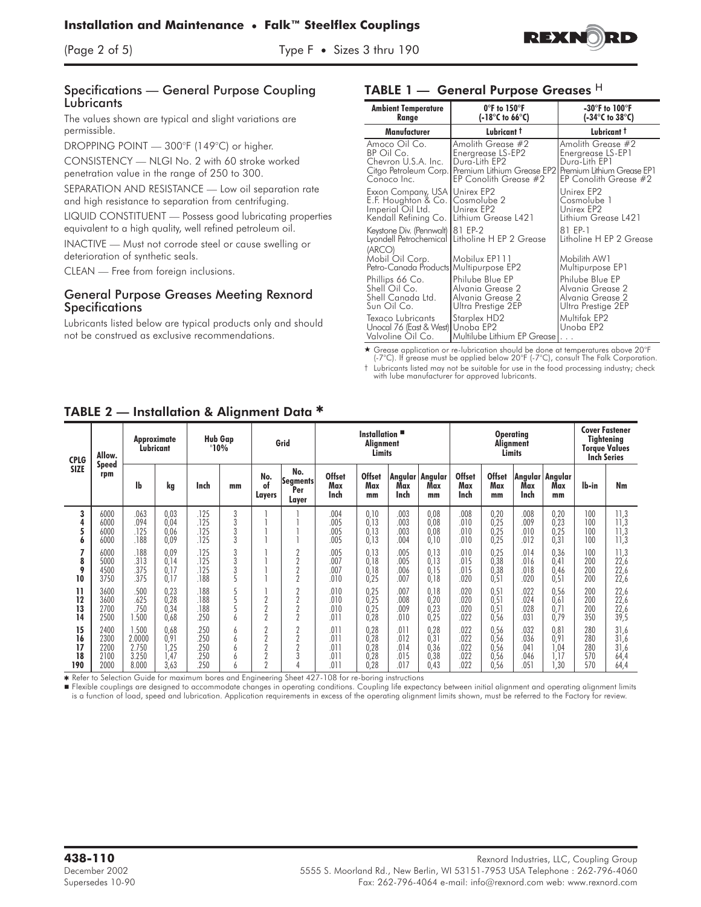



#### Specifications — General Purpose Coupling **Lubricants**

The values shown are typical and slight variations are permissible.

DROPPING POINT — 300°F (149°C) or higher.

CONSISTENCY — NLGI No. 2 with 60 stroke worked penetration value in the range of 250 to 300.

SEPARATION AND RESISTANCE — Low oil separation rate and high resistance to separation from centrifuging.

LIQUID CONSTITUENT — Possess good lubricating properties equivalent to a high quality, well refined petroleum oil.

INACTIVE — Must not corrode steel or cause swelling or deterioration of synthetic seals.

CLEAN — Free from foreign inclusions.

#### General Purpose Greases Meeting Rexnord **Specifications**

Lubricants listed below are typical products only and should not be construed as exclusive recommendations.

#### **TABLE 1 — General Purpose Greases** <sup>H</sup>

| <b>Ambient Temperature</b><br>Range                                                                                               | $0^{\circ}$ F to 150 $^{\circ}$ F<br>(-18 $\degree$ C to 66 $\degree$ C)                                                             | -30°F to $100^{\circ}$ F<br>(-34 $\degree$ C to 38 $\degree$ C)                                                |  |  |  |  |  |
|-----------------------------------------------------------------------------------------------------------------------------------|--------------------------------------------------------------------------------------------------------------------------------------|----------------------------------------------------------------------------------------------------------------|--|--|--|--|--|
| Manufacturer                                                                                                                      | Lubricant t                                                                                                                          | Lubricant t                                                                                                    |  |  |  |  |  |
| Amoco Oil Co.<br>BP Oil Co.<br>Chevron U.S.A. Inc.<br>Conoco Inc.                                                                 | Amolith Grease #2<br>Energrease LS-EP2<br>Dura-Lith EP2<br>Citgo Petroleum Corp. Premium Lithium Grease EP2<br>EP Conolith Grease #2 | Amolith Grease #2<br>Energrease LS-EP1<br>Dura-Lith EP1<br>Premium Lithium Grease EP1<br>EP Conolith Grease #2 |  |  |  |  |  |
| Exxon Company, USA Unirex EP2<br>E.F. Houghton & Co. Cosmolube 2<br>Imperial Oil Ltd.<br>Kendall Refining Co. Lithium Grease L421 | Unirex EP2                                                                                                                           | Unirex EP2<br>Cosmolube 1<br>Unirex EP2<br>Lithium Grease L421                                                 |  |  |  |  |  |
| Keystone Div. (Pennwalt)   81 EP-2<br>(ARCO)                                                                                      | Lyondell Petrochemical Litholine H EP 2 Grease                                                                                       | 81 EP-1<br>Litholine H EP 2 Grease                                                                             |  |  |  |  |  |
| Mobil Oil Corp.<br>Petro-Canada Products Multipurpose EP2                                                                         | Mobilux EP111                                                                                                                        | Mobilith AW1<br>Multipurpose EP1                                                                               |  |  |  |  |  |
| Phillips 66 Co.<br>Shell Oil Co.<br>Shell Canada Ltd.<br>Sun Oil Co.                                                              | Philube Blue EP<br>Alvania Grease 2<br>Alvania Grease 2<br>Ultra Prestige 2EP                                                        | Philube Blue EP<br>Alvania Grease 2<br>Alvania Grease 2<br>Ultra Prestige 2EP                                  |  |  |  |  |  |
| Texaco Lubricants<br>Unocal 76 (East & West) Unoba EP2<br>Valvoline Oil Co.                                                       | Starplex HD2<br>Multilube Lithium EP Grease                                                                                          | Multifak EP2<br>Unoba EP2<br>.                                                                                 |  |  |  |  |  |

- Grease application or re-lubrication should be done at temperatures above 20°F (-7°C). If grease must be applied below 20°F (-7°C), consult The Falk Corporation.

† Lubricants listed may not be suitable for use in the food processing industry; check

with lube manufacturer for approved lubricants.

| $\tilde{\phantom{a}}$       |                                      |                                            |                                      |                                  |                       |                                                               |                                                                      |                                      |                                      |                                      |                                                |                                      |                                      |                                      |                                                                                          |                                 |                                      |
|-----------------------------|--------------------------------------|--------------------------------------------|--------------------------------------|----------------------------------|-----------------------|---------------------------------------------------------------|----------------------------------------------------------------------|--------------------------------------|--------------------------------------|--------------------------------------|------------------------------------------------|--------------------------------------|--------------------------------------|--------------------------------------|------------------------------------------------------------------------------------------|---------------------------------|--------------------------------------|
| <b>CPLG</b><br><b>SIZE</b>  | Allow.<br><b>Speed</b><br>rpm        | <b>Approximate</b><br>Lubricant            |                                      | <b>Hub Gap</b><br>$"10\%$        |                       | Grid                                                          |                                                                      | Installation<br>Alignment<br>Limits  |                                      |                                      | <b>Operating</b><br>Alignment<br><b>Limits</b> |                                      |                                      |                                      | <b>Cover Fastener</b><br><b>Tightening</b><br><b>Torque Values</b><br><b>Inch Series</b> |                                 |                                      |
|                             |                                      | lb                                         | kg                                   | Inch                             | mm                    | No.<br>of<br>Layers                                           | No.<br>Segments<br>Per<br>Layer                                      | <b>Offset</b><br>Max<br>Inch         | <b>Offset</b><br>Max<br>mm           | Max<br>Inch                          | Angular   Angular<br>Max<br>mm                 | <b>Offset</b><br>Max<br>Inch         | <b>Offset</b><br>Max<br>mm           | Max<br>Inch                          | Angular   Angular<br>Max<br>mm                                                           | lb-in                           | Nm                                   |
| 3<br>4<br>5<br>6            | 6000<br>6000<br>6000<br>6000         | .063<br>.094<br>.125<br>.188               | 0,03<br>0,04<br>0,06<br>0.09         | .125<br>.125<br>.125<br>.125     | 3<br>3<br>3<br>3      |                                                               |                                                                      | .004<br>.005<br>.005<br>.005         | 0,10<br>0,13<br>0,13<br>0,13         | .003<br>.003<br>.003<br>.004         | 0,08<br>0,08<br>0,08<br>0,10                   | .008<br>.010<br>.010<br>.010         | 0,20<br>0,25<br>0,25<br>0,25         | .008<br>.009<br>.010<br>.012         | 0,20<br>0,23<br>0,25<br>0.31                                                             | 100<br>100<br>100<br>100        | 11,3<br>11,3<br>11,3<br>11,3         |
| 8<br>9<br>10                | 6000<br>5000<br>4500<br>3750         | .188<br>.313<br>.375<br>.375               | 0,09<br>0.14<br>0,17<br>0,17         | .125<br>.125<br>.125<br>.188     | 3<br>3<br>5           |                                                               | $\overline{2}$<br>$\overline{2}$<br>$\overline{2}$<br>$\overline{2}$ | .005<br>.007<br>.007<br>.010         | 0,13<br>0,18<br>0,18<br>0,25         | .005<br>.005<br>.006<br>.007         | 0,13<br>0,13<br>0,15<br>0,18                   | .010<br>.015<br>.015<br>.020         | 0,25<br>0,38<br>0,38<br>0,51         | .014<br>.016<br>.018<br>.020         | 0,36<br>0,41<br>0,46<br>0,51                                                             | 100<br>200<br>200<br>200        | 11,3<br>22,6<br>22,6<br>22,6         |
| 11<br>12<br>13<br>14        | 3600<br>3600<br>2700<br>2500         | .500<br>.625<br>750<br>1.500               | 0,23<br>0,28<br>0,34<br>0,68         | .188<br>.188<br>.188<br>250      | 5<br>5<br>5<br>6      | $\Omega$<br>L<br>$\overline{2}$<br>$\overline{2}$             | $\overline{2}$<br>$\overline{2}$<br>$\overline{2}$<br>$\overline{2}$ | .010<br>.010<br>.010<br>.011         | 0.25<br>0,25<br>0,25<br>0,28         | .007<br>.008<br>.009<br>.010         | 0,18<br>0,20<br>0,23<br>0,25                   | .020<br>.020<br>.020<br>.022         | 0.51<br>0,51<br>0,51<br>0,56         | .022<br>.024<br>.028<br>.031         | 0,56<br>0,61<br>0.71<br>0,79                                                             | 200<br>200<br>200<br>350        | 22,6<br>22,6<br>22,6<br>39,5         |
| 15<br>16<br>17<br>18<br>190 | 2400<br>2300<br>2200<br>2100<br>2000 | 1.500<br>2.0000<br>2.750<br>3.250<br>8.000 | 0,68<br>0,91<br>1,25<br>1,47<br>3,63 | 250<br>250<br>250<br>250<br>.250 | 6<br>6<br>6<br>6<br>6 | $\overline{2}$<br>$\overline{2}$<br>ŋ<br>$\Omega$<br>$\Omega$ | $\overline{2}$<br>$\overline{2}$<br>n<br>3                           | .011<br>.011<br>.011<br>.011<br>.011 | 0,28<br>0,28<br>0,28<br>0,28<br>0,28 | .011<br>.012<br>.014<br>.015<br>.017 | 0,28<br>0,31<br>0,36<br>0,38<br>0,43           | .022<br>.022<br>.022<br>.022<br>.022 | 0,56<br>0,56<br>0,56<br>0,56<br>0,56 | .032<br>.036<br>.041<br>.046<br>.051 | 0,81<br>0,91<br>1,04<br>1,17<br>1,30                                                     | 280<br>280<br>280<br>570<br>570 | 31,6<br>31,6<br>31,6<br>64,4<br>64,4 |

## TABLE 2 — Installation & Alianment Data \*

\* Refer to Selection Guide for maximum bores and Engineering Sheet 427-108 for re-boring instructions

■ Flexible couplings are designed to accommodate changes in operating conditions. Coupling life expectancy between initial alignment and operating alignment limits is a function of load, speed and lubrication. Application requirements in excess of the operating alignment limits shown, must be referred to the Factory for review.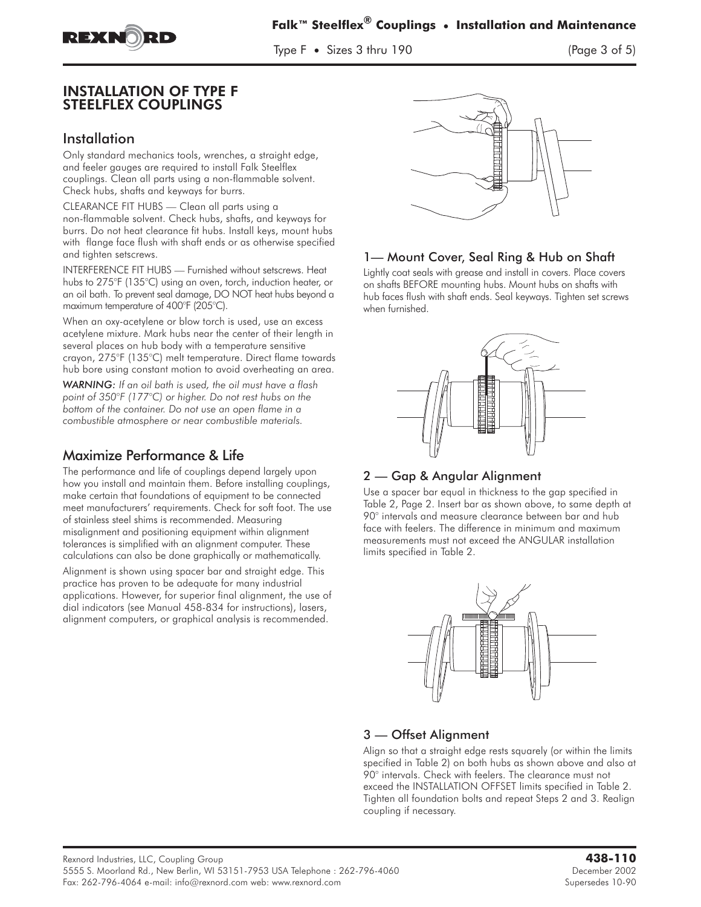

Type F • Sizes 3 thru 190 (Page 3 of 5)

#### **INSTALLATION OF TYPE F STEELFLEX COUPLINGS** STEELFLEX COUPLINGS

## Installation

Only standard mechanics tools, wrenches, a straight edge, and feeler gauges are required to install Falk Steelflex couplings. Clean all parts using a non-flammable solvent. Check hubs, shafts and keyways for burrs.

CLEARANCE FIT HUBS — Clean all parts using a non-flammable solvent. Check hubs, shafts, and keyways for burrs. Do not heat clearance fit hubs. Install keys, mount hubs with flange face flush with shaft ends or as otherwise specified and tighten setscrews.

INTERFERENCE FIT HUBS — Furnished without setscrews. Heat hubs to 275°F (135°C) using an oven, torch, induction heater, or an oil bath. To prevent seal damage, DO NOT heat hubs beyond a maximum temperature of 400°F (205°C).

When an oxy-acetylene or blow torch is used, use an excess acetylene mixture. Mark hubs near the center of their length in several places on hub body with a temperature sensitive crayon, 275°F (135°C) melt temperature. Direct flame towards hub bore using constant motion to avoid overheating an area.

*WARNING: If an oil bath is used, the oil must have a flash point of 350°F (177°C) or higher. Do not rest hubs on the bottom of the container. Do not use an open flame in a combustible atmosphere or near combustible materials.*

# Maximize Performance & Life

The performance and life of couplings depend largely upon how you install and maintain them. Before installing couplings, make certain that foundations of equipment to be connected meet manufacturers' requirements. Check for soft foot. The use of stainless steel shims is recommended. Measuring misalignment and positioning equipment within alignment tolerances is simplified with an alignment computer. These calculations can also be done graphically or mathematically.

Alignment is shown using spacer bar and straight edge. This practice has proven to be adequate for many industrial applications. However, for superior final alignment, the use of dial indicators (see Manual 458-834 for instructions), lasers, alignment computers, or graphical analysis is recommended.



## 1— Mount Cover, Seal Ring & Hub on Shaft

Lightly coat seals with grease and install in covers. Place covers on shafts BEFORE mounting hubs. Mount hubs on shafts with hub faces flush with shaft ends. Seal keyways. Tighten set screws when furnished.



## 2 — Gap & Angular Alignment

Use a spacer bar equal in thickness to the gap specified in Table 2, Page 2. Insert bar as shown above, to same depth at 90° intervals and measure clearance between bar and hub face with feelers. The difference in minimum and maximum measurements must not exceed the ANGULAR installation limits specified in Table 2.



## 3 — Offset Alignment

Align so that a straight edge rests squarely (or within the limits specified in Table 2) on both hubs as shown above and also at 90° intervals. Check with feelers. The clearance must not exceed the INSTALLATION OFFSET limits specified in Table 2. Tighten all foundation bolts and repeat Steps 2 and 3. Realign coupling if necessary.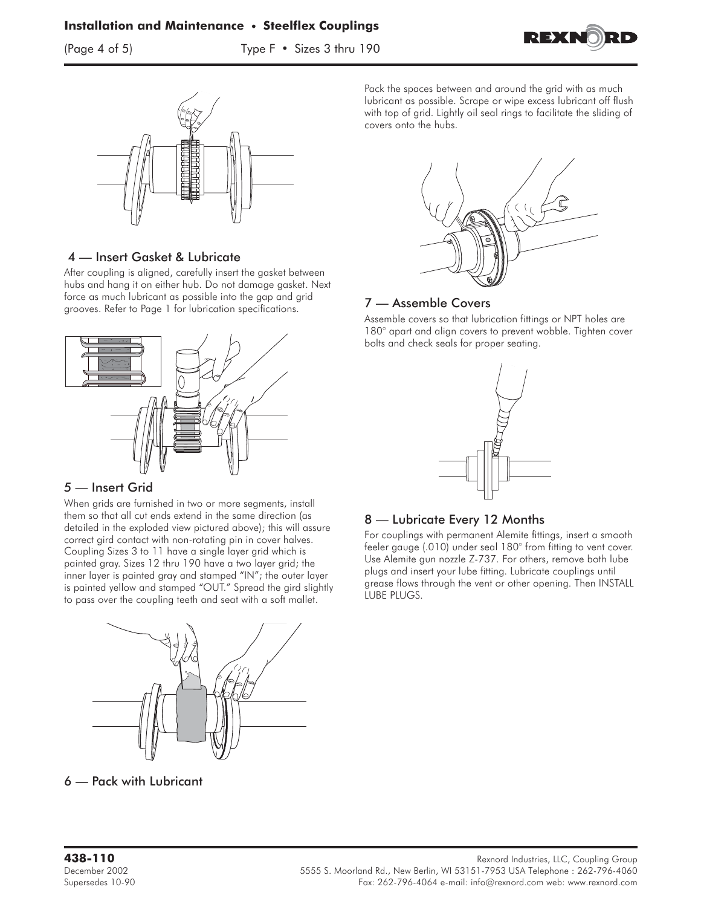(Page 4 of 5) Type F • Sizes 3 thru 190





#### 4 — Insert Gasket & Lubricate

After coupling is aligned, carefully insert the gasket between hubs and hang it on either hub. Do not damage gasket. Next force as much lubricant as possible into the gap and grid grooves. Refer to Page 1 for lubrication specifications.



#### *5* — Insert Grid

When grids are furnished in two or more segments, install them so that all cut ends extend in the same direction (as detailed in the exploded view pictured above); this will assure correct gird contact with non-rotating pin in cover halves. Coupling Sizes 3 to 11 have a single layer grid which is painted gray. Sizes 12 thru 190 have a two layer grid; the inner layer is painted gray and stamped "IN"; the outer layer is painted yellow and stamped "OUT." Spread the gird slightly to pass over the coupling teeth and seat with a soft mallet.



6 — Pack with Lubricant

Pack the spaces between and around the grid with as much lubricant as possible. Scrape or wipe excess lubricant off flush with top of grid. Lightly oil seal rings to facilitate the sliding of covers onto the hubs.



#### 7 — Assemble Covers

Assemble covers so that lubrication fittings or NPT holes are 180° apart and align covers to prevent wobble. Tighten cover bolts and check seals for proper seating.



#### 8 — Lubricate Every 12 Months

For couplings with permanent Alemite fittings, insert a smooth feeler gauge (.010) under seal 180° from fitting to vent cover. Use Alemite gun nozzle Z-737. For others, remove both lube plugs and insert your lube fitting. Lubricate couplings until grease flows through the vent or other opening. Then INSTALL LUBE PLUGS.